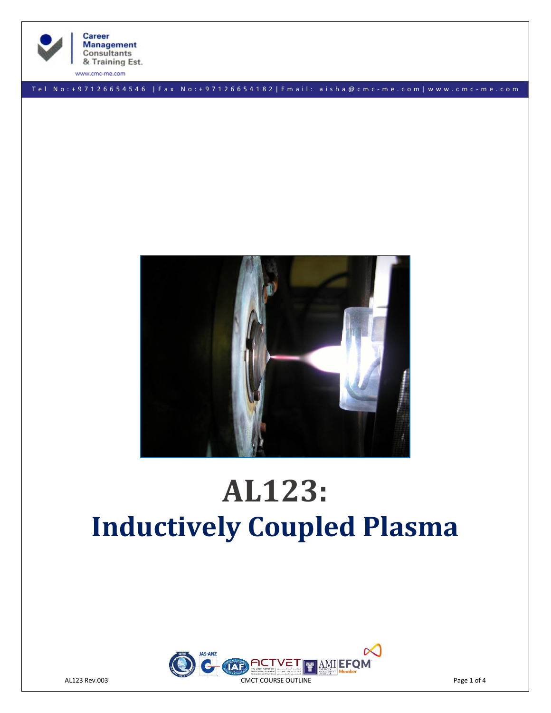

**Career Management Consultants** & Training Est.

www.cmc-me.com

T e l N o : + 9 7 1 2 6 6 5 4 5 4 6 | F a x No: + 9 7 1 2 6 6 5 4 1 8 2 | E m a i l : a i s h a @ c m c - m e . c o m | w w w . c m c - m e . c o m



# **AL123: Inductively Coupled Plasma**

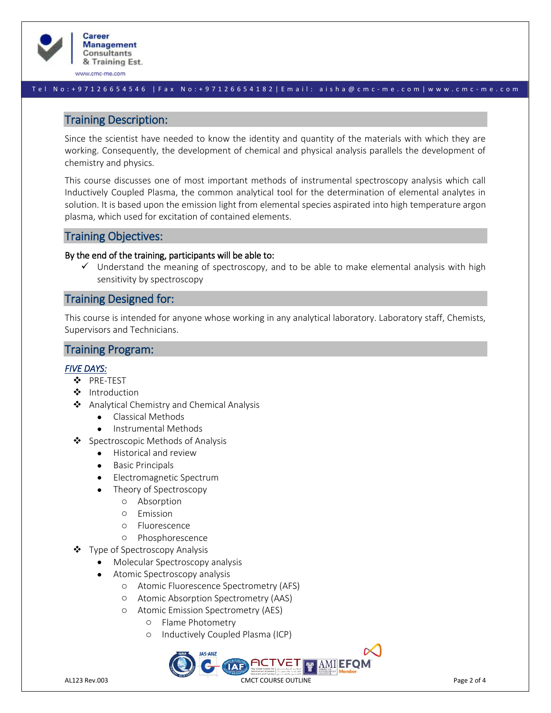

www.cmc-me.com

#### T e l N o : + 9 7 1 2 6 6 5 4 5 4 6 | F a x No: + 9 7 1 2 6 6 5 4 1 8 2 | E m a i l : a i s h a @ c m c - m e . c o m | w w w . c m c - m e . c o m

## Training Description:

Since the scientist have needed to know the identity and quantity of the materials with which they are working. Consequently, the development of chemical and physical analysis parallels the development of chemistry and physics.

This course discusses one of most important methods of instrumental spectroscopy analysis which call Inductively Coupled Plasma, the common analytical tool for the determination of elemental analytes in solution. It is based upon the emission light from elemental species aspirated into high temperature argon plasma, which used for excitation of contained elements.

## Training Objectives:

#### By the end of the training, participants will be able to:

✓ Understand the meaning of spectroscopy, and to be able to make elemental analysis with high sensitivity by spectroscopy

## Training Designed for:

This course is intended for anyone whose working in any analytical laboratory. Laboratory staff, Chemists, Supervisors and Technicians.

## Training Program:

## *FIVE DAYS:*

- ❖ PRE-TEST
- ❖ Introduction
- ❖ Analytical Chemistry and Chemical Analysis
	- Classical Methods
	- Instrumental Methods
- ❖ Spectroscopic Methods of Analysis
	- Historical and review
	- Basic Principals
	- Electromagnetic Spectrum
	- Theory of Spectroscopy
		- o Absorption
		- o Emission
		- o Fluorescence
		- o Phosphorescence
- ❖ Type of Spectroscopy Analysis
	- Molecular Spectroscopy analysis
	- Atomic Spectroscopy analysis
		- o Atomic Fluorescence Spectrometry (AFS)
		- o Atomic Absorption Spectrometry (AAS)
		- o Atomic Emission Spectrometry (AES)
			- o Flame Photometry
			- o Inductively Coupled Plasma (ICP)

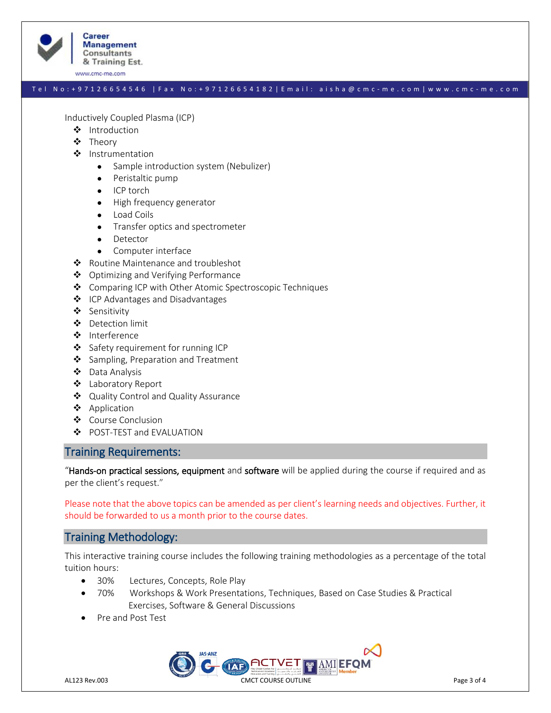

www.cmc-me.com

#### T e l N o : + 9 7 1 2 6 6 5 4 5 4 6 | F a x No: + 9 7 1 2 6 6 5 4 1 8 2 | E m a i l : a i s h a @ c m c - m e . c o m | w w w . c m c - m e . c o m

Inductively Coupled Plasma (ICP)

- ❖ Introduction
- ❖ Theory
- ❖ Instrumentation
	- Sample introduction system (Nebulizer)
	- Peristaltic pump
	- ICP torch
	- High frequency generator
	- Load Coils
	- Transfer optics and spectrometer
	- Detector
	- Computer interface
- ❖ Routine Maintenance and troubleshot
- ❖ Optimizing and Verifying Performance
- ❖ Comparing ICP with Other Atomic Spectroscopic Techniques
- ❖ ICP Advantages and Disadvantages
- ❖ Sensitivity
- ❖ Detection limit
- ❖ Interference
- ❖ Safety requirement for running ICP
- ❖ Sampling, Preparation and Treatment
- ❖ Data Analysis
- ❖ Laboratory Report
- ❖ Quality Control and Quality Assurance
- ❖ Application
- ❖ Course Conclusion
- ❖ POST-TEST and EVALUATION

## Training Requirements:

"Hands-on practical sessions, equipment and software will be applied during the course if required and as per the client's request."

Please note that the above topics can be amended as per client's learning needs and objectives. Further, it should be forwarded to us a month prior to the course dates.

## Training Methodology:

This interactive training course includes the following training methodologies as a percentage of the total tuition hours:

- 30% Lectures, Concepts, Role Play
- 70% Workshops & Work Presentations, Techniques, Based on Case Studies & Practical Exercises, Software & General Discussions
- Pre and Post Test